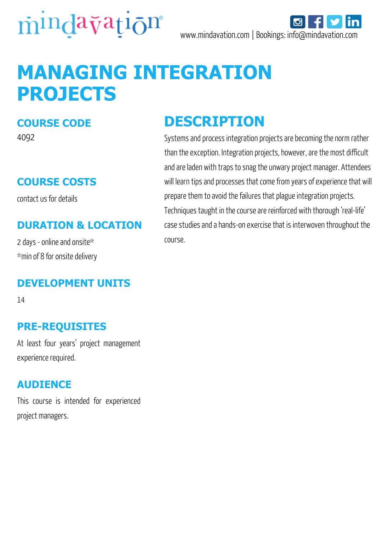



# **MANAGING INTEGRATION PROJECTS**

#### **COURSE CODE**

4092

### **COURSE COSTS**

contact us for details

#### **DURATION & LOCATION**

2 days - online and onsite\* \*min of 8 for onsite delivery

#### **DEVELOPMENT UNITS**

14

#### **PRE-REQUISITES**

At least four years' project management experience required.

#### **AUDIENCE**

This course is intended for experienced project managers.

### **DESCRIPTION**

Systems and process integration projects are becoming the norm rather than the exception. Integration projects, however, are the most difficult and are laden with traps to snag the unwary project manager. Attendees will learn tips and processes that come from years of experience that will prepare them to avoid the failures that plague integration projects. Techniques taught in the course are reinforced with thorough 'real-life' case studies and a hands-on exercise that is interwoven throughout the course.